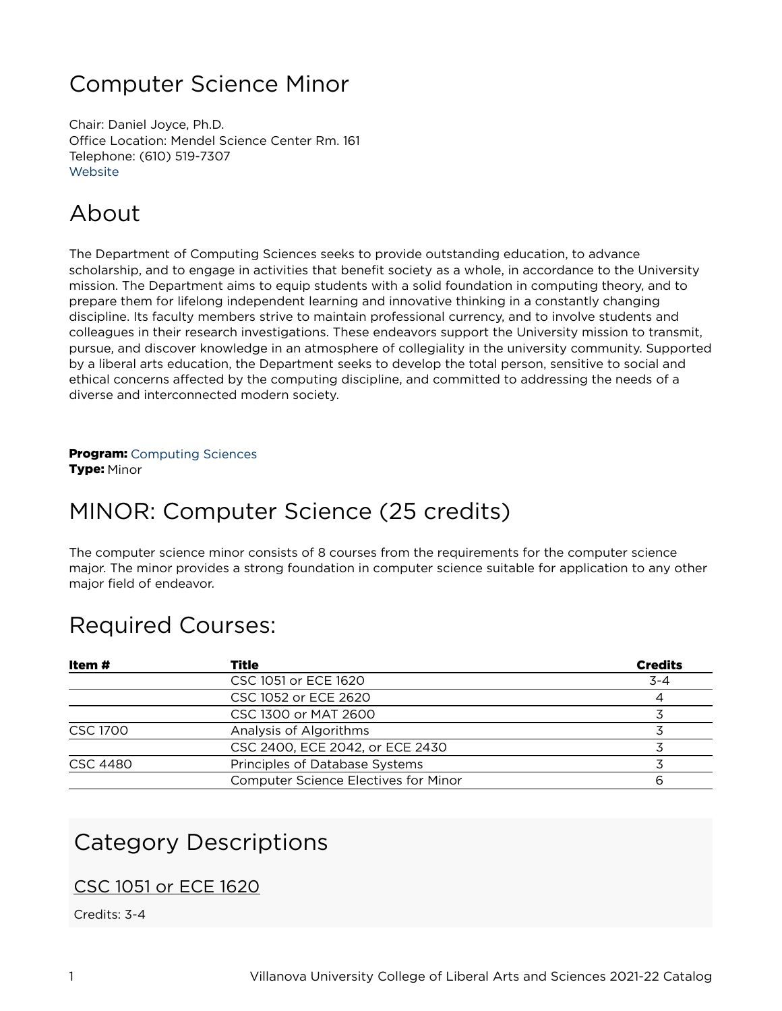# Computer Science Minor

Chair: Daniel Joyce, Ph.D. Office Location: Mendel Science Center Rm. 161 Telephone: (610) 519-7307 **[Website](https://www1.villanova.edu/university/liberal-arts-sciences/programs/computing-sciences.html)** 

## About

The Department of Computing Sciences seeks to provide outstanding education, to advance scholarship, and to engage in activities that benefit society as a whole, in accordance to the University mission. The Department aims to equip students with a solid foundation in computing theory, and to prepare them for lifelong independent learning and innovative thinking in a constantly changing discipline. Its faculty members strive to maintain professional currency, and to involve students and colleagues in their research investigations. These endeavors support the University mission to transmit, pursue, and discover knowledge in an atmosphere of collegiality in the university community. Supported by a liberal arts education, the Department seeks to develop the total person, sensitive to social and ethical concerns affected by the computing discipline, and committed to addressing the needs of a diverse and interconnected modern society.

**Program: Computing Sciences** 

Type: Minor

# MINOR: Computer Science (25 credits)

The computer science minor consists of 8 courses from the requirements for the computer science major. The minor provides a strong foundation in computer science suitable for application to any other major field of endeavor.

### Required Courses:

| Item#           | Title                                       | <b>Credits</b> |
|-----------------|---------------------------------------------|----------------|
|                 | CSC 1051 or ECE 1620                        | $3 - 4$        |
|                 | CSC 1052 or ECE 2620                        |                |
|                 | CSC 1300 or MAT 2600                        |                |
| <b>CSC 1700</b> | Analysis of Algorithms                      |                |
|                 | CSC 2400, ECE 2042, or ECE 2430             |                |
| CSC 4480        | Principles of Database Systems              |                |
|                 | <b>Computer Science Electives for Minor</b> | 6              |

# Category Descriptions

#### CSC 1051 or ECE 1620

Credits: 3-4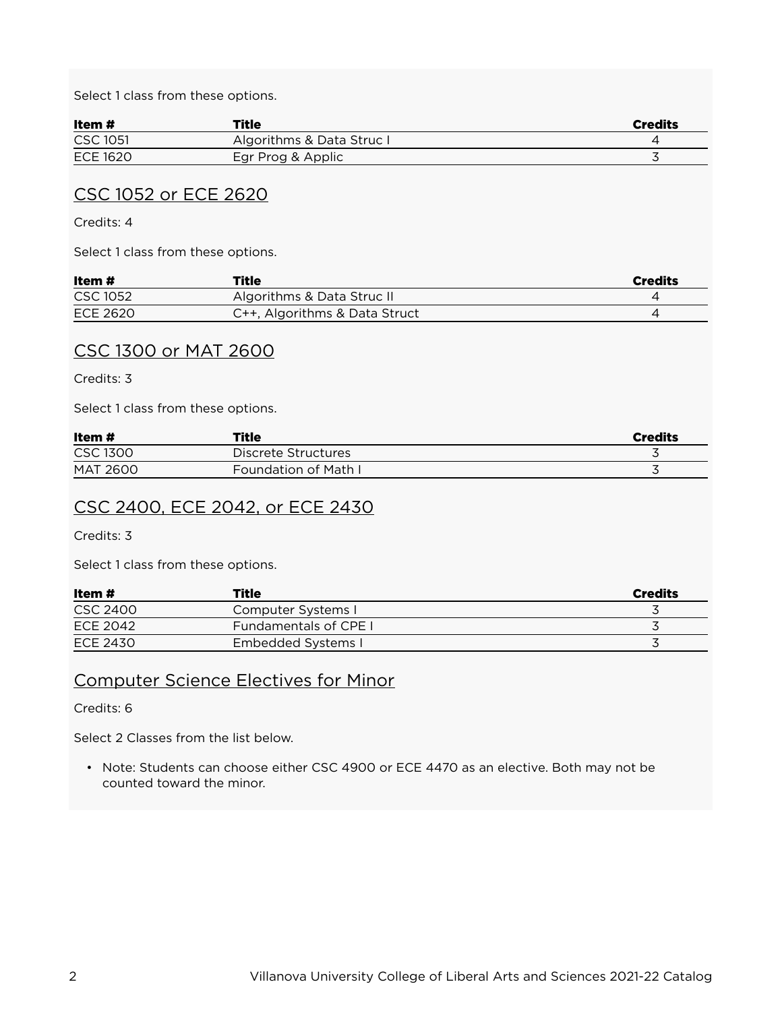Select 1 class from these options.

| Item #   | Title                     | <b>Credits</b> |
|----------|---------------------------|----------------|
| CSC 1051 | Algorithms & Data Struc I |                |
| ECE 1620 | Egr Prog & Applic         |                |

### CSC 1052 or ECE 2620

Credits: 4

Select 1 class from these options.

| Item#    | Title                         | <b>Credits</b> |
|----------|-------------------------------|----------------|
| CSC 1052 | Algorithms & Data Struc II    |                |
| ECE 2620 | C++, Algorithms & Data Struct |                |

#### CSC 1300 or MAT 2600

Credits: 3

Select 1 class from these options.

| Item #          | Title                       | <b>Credits</b> |
|-----------------|-----------------------------|----------------|
| CSC 1300        | Discrete Structures         |                |
| <b>MAT 2600</b> | <b>Foundation of Math I</b> |                |

#### CSC 2400, ECE 2042, or ECE 2430

Credits: 3

Select 1 class from these options.

| Item #   | <b>Title</b>                 | <b>Credits</b> |
|----------|------------------------------|----------------|
| CSC 2400 | Computer Systems I           |                |
| ECE 2042 | <b>Fundamentals of CPE I</b> |                |
| ECE 2430 | Embedded Systems I           |                |

### Computer Science Electives for Minor

Credits: 6

Select 2 Classes from the list below.

• Note: Students can choose either CSC 4900 or ECE 4470 as an elective. Both may not be counted toward the minor.